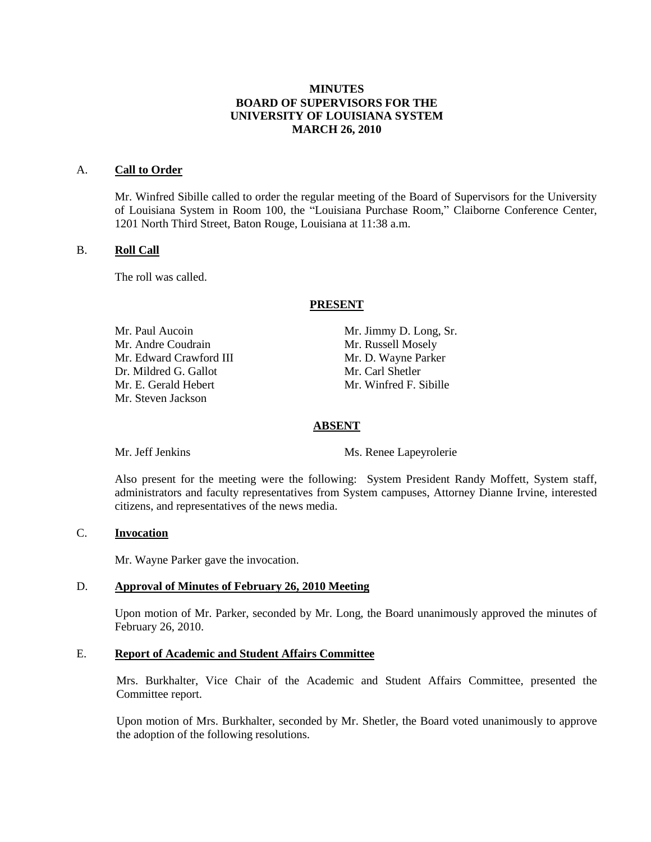## **MINUTES BOARD OF SUPERVISORS FOR THE UNIVERSITY OF LOUISIANA SYSTEM MARCH 26, 2010**

#### A. **Call to Order**

Mr. Winfred Sibille called to order the regular meeting of the Board of Supervisors for the University of Louisiana System in Room 100, the "Louisiana Purchase Room," Claiborne Conference Center, 1201 North Third Street, Baton Rouge, Louisiana at 11:38 a.m.

#### B. **Roll Call**

The roll was called.

#### **PRESENT**

Mr. Paul Aucoin Mr. Jimmy D. Long, Sr. Mr. Andre Coudrain Mr. Russell Mosely Mr. Edward Crawford III Mr. D. Wayne Parker Dr. Mildred G. Gallot Mr. Carl Shetler Mr. E. Gerald Hebert Mr. Winfred F. Sibille Mr. Steven Jackson

## **ABSENT**

Mr. Jeff Jenkins Ms. Renee Lapeyrolerie

Also present for the meeting were the following: System President Randy Moffett, System staff, administrators and faculty representatives from System campuses, Attorney Dianne Irvine, interested citizens, and representatives of the news media.

# C. **Invocation**

Mr. Wayne Parker gave the invocation.

### D. **Approval of Minutes of February 26, 2010 Meeting**

Upon motion of Mr. Parker, seconded by Mr. Long, the Board unanimously approved the minutes of February 26, 2010.

### E. **Report of Academic and Student Affairs Committee**

Mrs. Burkhalter, Vice Chair of the Academic and Student Affairs Committee, presented the Committee report.

Upon motion of Mrs. Burkhalter, seconded by Mr. Shetler, the Board voted unanimously to approve the adoption of the following resolutions.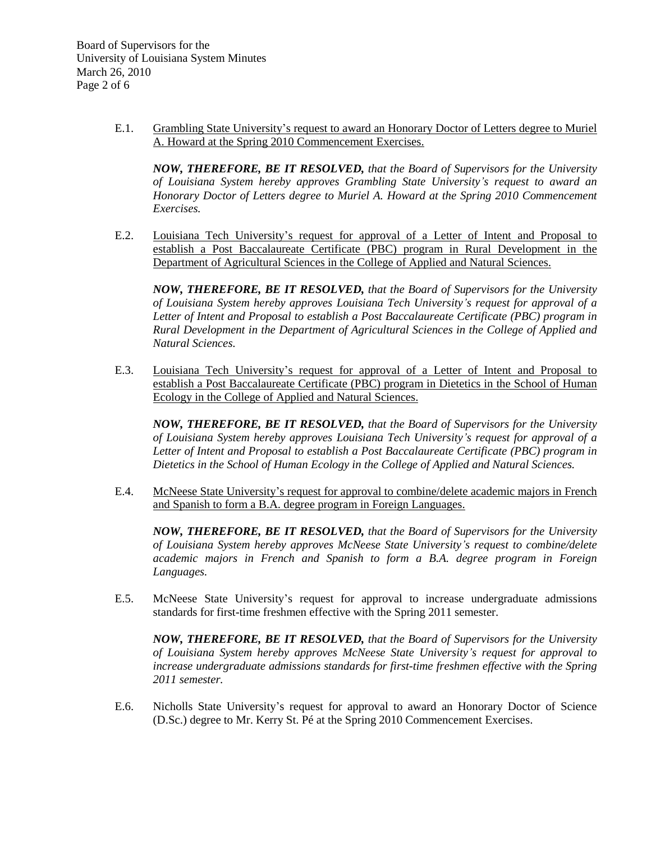E.1. Grambling State University's request to award an Honorary Doctor of Letters degree to Muriel A. Howard at the Spring 2010 Commencement Exercises.

*NOW, THEREFORE, BE IT RESOLVED, that the Board of Supervisors for the University of Louisiana System hereby approves Grambling State University's request to award an Honorary Doctor of Letters degree to Muriel A. Howard at the Spring 2010 Commencement Exercises.*

E.2. Louisiana Tech University's request for approval of a Letter of Intent and Proposal to establish a Post Baccalaureate Certificate (PBC) program in Rural Development in the Department of Agricultural Sciences in the College of Applied and Natural Sciences.

*NOW, THEREFORE, BE IT RESOLVED, that the Board of Supervisors for the University of Louisiana System hereby approves Louisiana Tech University's request for approval of a Letter of Intent and Proposal to establish a Post Baccalaureate Certificate (PBC) program in Rural Development in the Department of Agricultural Sciences in the College of Applied and Natural Sciences.*

E.3. Louisiana Tech University's request for approval of a Letter of Intent and Proposal to establish a Post Baccalaureate Certificate (PBC) program in Dietetics in the School of Human Ecology in the College of Applied and Natural Sciences.

*NOW, THEREFORE, BE IT RESOLVED, that the Board of Supervisors for the University of Louisiana System hereby approves Louisiana Tech University's request for approval of a Letter of Intent and Proposal to establish a Post Baccalaureate Certificate (PBC) program in Dietetics in the School of Human Ecology in the College of Applied and Natural Sciences.*

E.4. McNeese State University's request for approval to combine/delete academic majors in French and Spanish to form a B.A. degree program in Foreign Languages.

*NOW, THEREFORE, BE IT RESOLVED, that the Board of Supervisors for the University of Louisiana System hereby approves McNeese State University's request to combine/delete academic majors in French and Spanish to form a B.A. degree program in Foreign Languages.*

E.5. McNeese State University's request for approval to increase undergraduate admissions standards for first-time freshmen effective with the Spring 2011 semester.

*NOW, THEREFORE, BE IT RESOLVED, that the Board of Supervisors for the University of Louisiana System hereby approves McNeese State University's request for approval to increase undergraduate admissions standards for first-time freshmen effective with the Spring 2011 semester.*

E.6. Nicholls State University's request for approval to award an Honorary Doctor of Science (D.Sc.) degree to Mr. Kerry St. Pé at the Spring 2010 Commencement Exercises.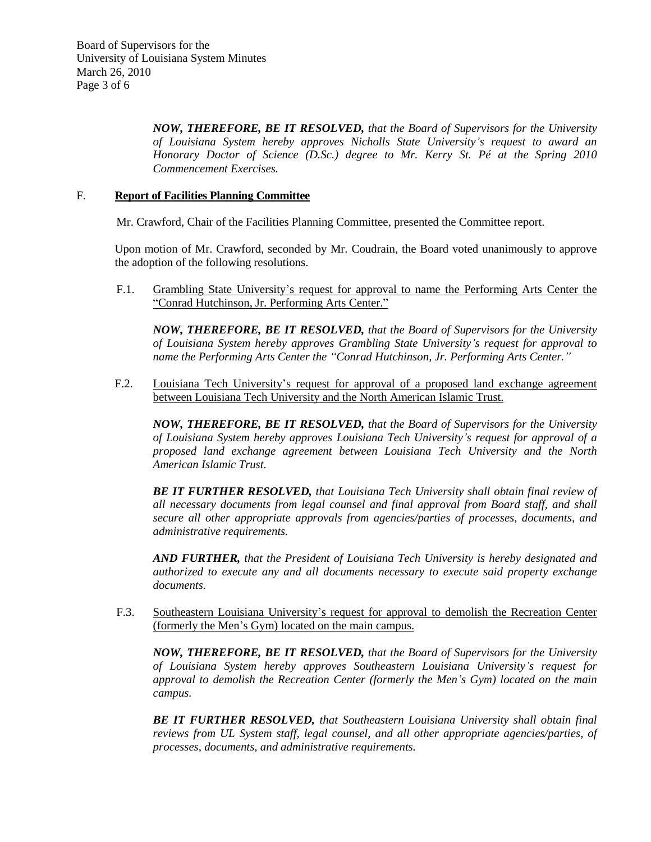*NOW, THEREFORE, BE IT RESOLVED, that the Board of Supervisors for the University of Louisiana System hereby approves Nicholls State University's request to award an Honorary Doctor of Science (D.Sc.) degree to Mr. Kerry St. Pé at the Spring 2010 Commencement Exercises.*

## F. **Report of Facilities Planning Committee**

Mr. Crawford, Chair of the Facilities Planning Committee, presented the Committee report.

Upon motion of Mr. Crawford, seconded by Mr. Coudrain, the Board voted unanimously to approve the adoption of the following resolutions.

F.1. Grambling State University's request for approval to name the Performing Arts Center the "Conrad Hutchinson, Jr. Performing Arts Center."

*NOW, THEREFORE, BE IT RESOLVED, that the Board of Supervisors for the University of Louisiana System hereby approves Grambling State University's request for approval to name the Performing Arts Center the "Conrad Hutchinson, Jr. Performing Arts Center."*

F.2. Louisiana Tech University's request for approval of a proposed land exchange agreement between Louisiana Tech University and the North American Islamic Trust.

*NOW, THEREFORE, BE IT RESOLVED, that the Board of Supervisors for the University of Louisiana System hereby approves Louisiana Tech University's request for approval of a proposed land exchange agreement between Louisiana Tech University and the North American Islamic Trust.*

*BE IT FURTHER RESOLVED, that Louisiana Tech University shall obtain final review of all necessary documents from legal counsel and final approval from Board staff, and shall secure all other appropriate approvals from agencies/parties of processes, documents, and administrative requirements.*

*AND FURTHER, that the President of Louisiana Tech University is hereby designated and authorized to execute any and all documents necessary to execute said property exchange documents.*

F.3. Southeastern Louisiana University's request for approval to demolish the Recreation Center (formerly the Men's Gym) located on the main campus.

*NOW, THEREFORE, BE IT RESOLVED, that the Board of Supervisors for the University of Louisiana System hereby approves Southeastern Louisiana University's request for approval to demolish the Recreation Center (formerly the Men's Gym) located on the main campus.*

*BE IT FURTHER RESOLVED, that Southeastern Louisiana University shall obtain final reviews from UL System staff, legal counsel, and all other appropriate agencies/parties, of processes, documents, and administrative requirements.*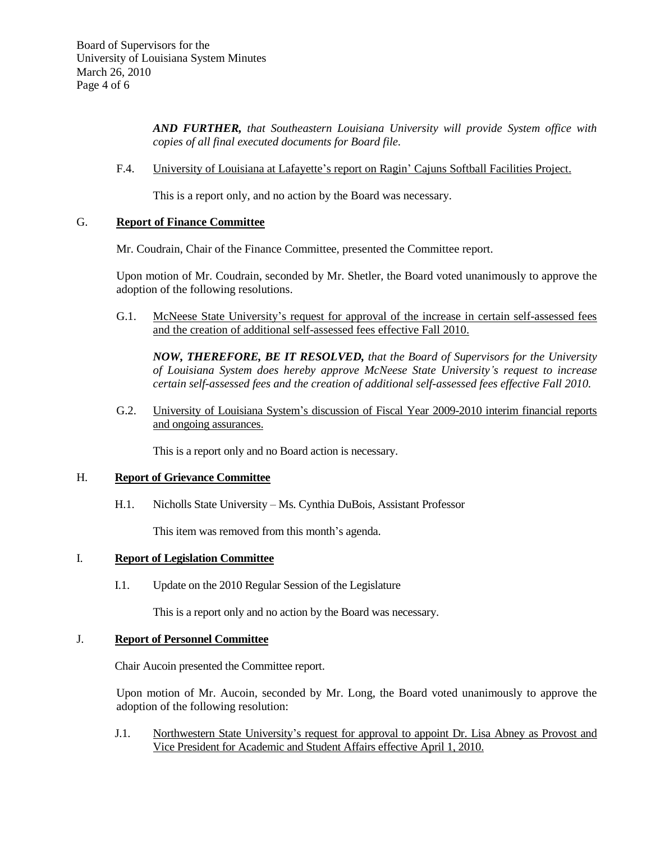*AND FURTHER, that Southeastern Louisiana University will provide System office with copies of all final executed documents for Board file.*

F.4. University of Louisiana at Lafayette's report on Ragin' Cajuns Softball Facilities Project.

This is a report only, and no action by the Board was necessary.

## G. **Report of Finance Committee**

Mr. Coudrain, Chair of the Finance Committee, presented the Committee report.

Upon motion of Mr. Coudrain, seconded by Mr. Shetler, the Board voted unanimously to approve the adoption of the following resolutions.

G.1. McNeese State University's request for approval of the increase in certain self-assessed fees and the creation of additional self-assessed fees effective Fall 2010.

*NOW, THEREFORE, BE IT RESOLVED, that the Board of Supervisors for the University of Louisiana System does hereby approve McNeese State University's request to increase certain self-assessed fees and the creation of additional self-assessed fees effective Fall 2010.*

G.2. University of Louisiana System's discussion of Fiscal Year 2009-2010 interim financial reports and ongoing assurances.

This is a report only and no Board action is necessary.

### H. **Report of Grievance Committee**

H.1. Nicholls State University – Ms. Cynthia DuBois, Assistant Professor

This item was removed from this month's agenda.

### I. **Report of Legislation Committee**

I.1. Update on the 2010 Regular Session of the Legislature

This is a report only and no action by the Board was necessary.

### J. **Report of Personnel Committee**

Chair Aucoin presented the Committee report.

Upon motion of Mr. Aucoin, seconded by Mr. Long, the Board voted unanimously to approve the adoption of the following resolution:

J.1. Northwestern State University's request for approval to appoint Dr. Lisa Abney as Provost and Vice President for Academic and Student Affairs effective April 1, 2010.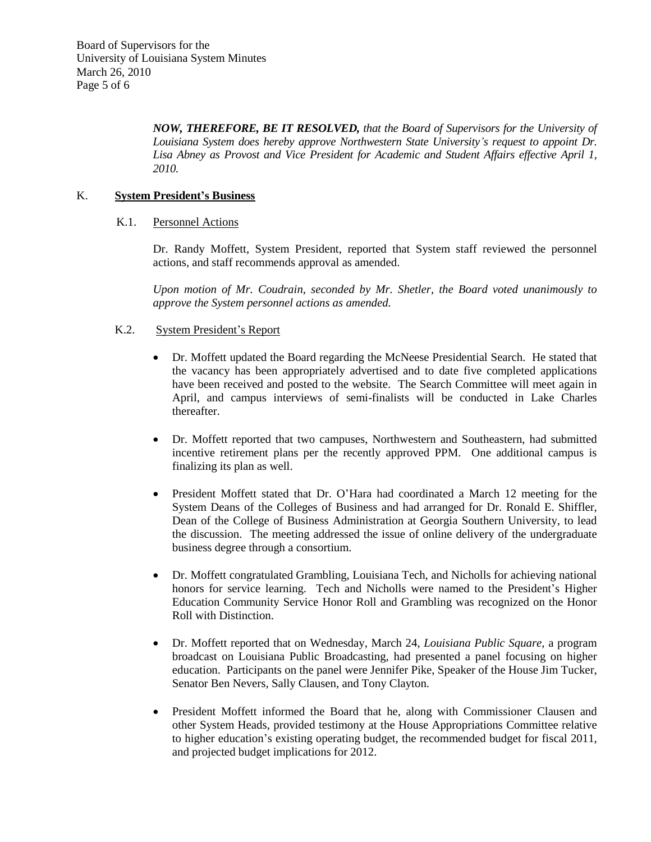*NOW, THEREFORE, BE IT RESOLVED, that the Board of Supervisors for the University of Louisiana System does hereby approve Northwestern State University's request to appoint Dr. Lisa Abney as Provost and Vice President for Academic and Student Affairs effective April 1, 2010.*

## K. **System President's Business**

### K.1. Personnel Actions

Dr. Randy Moffett, System President, reported that System staff reviewed the personnel actions, and staff recommends approval as amended.

*Upon motion of Mr. Coudrain, seconded by Mr. Shetler, the Board voted unanimously to approve the System personnel actions as amended.*

### K.2. System President's Report

- Dr. Moffett updated the Board regarding the McNeese Presidential Search. He stated that the vacancy has been appropriately advertised and to date five completed applications have been received and posted to the website. The Search Committee will meet again in April, and campus interviews of semi-finalists will be conducted in Lake Charles thereafter.
- Dr. Moffett reported that two campuses, Northwestern and Southeastern, had submitted incentive retirement plans per the recently approved PPM. One additional campus is finalizing its plan as well.
- President Moffett stated that Dr. O'Hara had coordinated a March 12 meeting for the System Deans of the Colleges of Business and had arranged for Dr. Ronald E. Shiffler, Dean of the College of Business Administration at Georgia Southern University, to lead the discussion. The meeting addressed the issue of online delivery of the undergraduate business degree through a consortium.
- Dr. Moffett congratulated Grambling, Louisiana Tech, and Nicholls for achieving national honors for service learning. Tech and Nicholls were named to the President's Higher Education Community Service Honor Roll and Grambling was recognized on the Honor Roll with Distinction.
- Dr. Moffett reported that on Wednesday, March 24, *Louisiana Public Square*, a program broadcast on Louisiana Public Broadcasting, had presented a panel focusing on higher education. Participants on the panel were Jennifer Pike, Speaker of the House Jim Tucker, Senator Ben Nevers, Sally Clausen, and Tony Clayton.
- President Moffett informed the Board that he, along with Commissioner Clausen and other System Heads, provided testimony at the House Appropriations Committee relative to higher education's existing operating budget, the recommended budget for fiscal 2011, and projected budget implications for 2012.